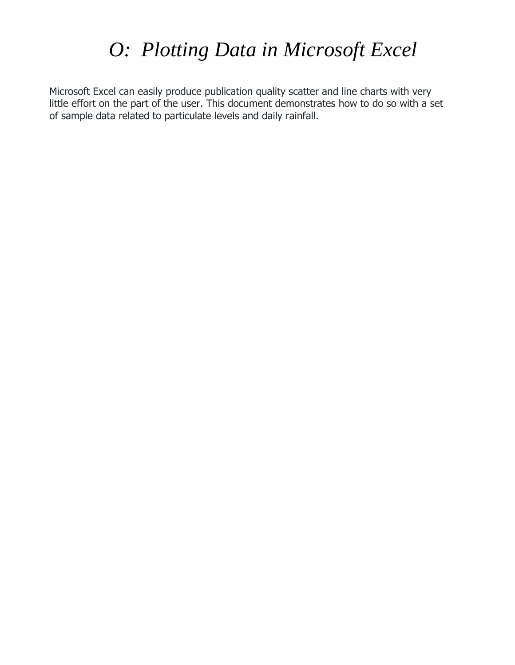# *O: Plotting Data in Microsoft Excel*

Microsoft Excel can easily produce publication quality scatter and line charts with very little effort on the part of the user. This document demonstrates how to do so with a set of sample data related to particulate levels and daily rainfall.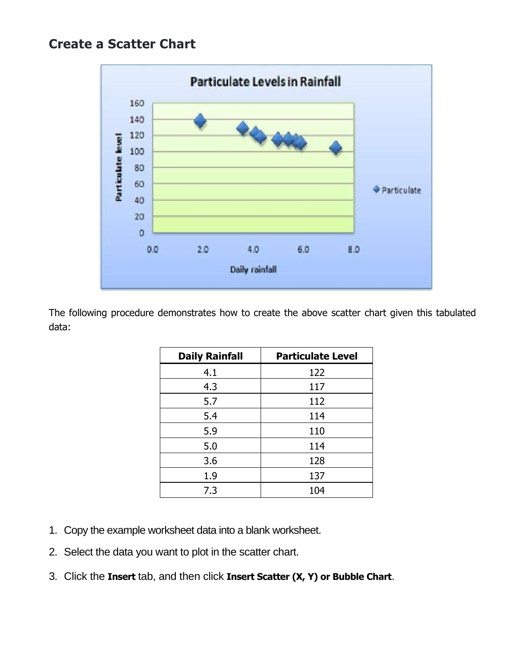## **Create a Scatter Chart**



The following procedure demonstrates how to create the above scatter chart given this tabulated data:

| <b>Daily Rainfall</b> | <b>Particulate Level</b> |
|-----------------------|--------------------------|
| 4.1                   | 122                      |
| 4.3                   | 117                      |
| 5.7                   | 112                      |
| 5.4                   | 114                      |
| 5.9                   | 110                      |
| 5.0                   | 114                      |
| 3.6                   | 128                      |
| 1.9                   | 137                      |
| 7.3                   | 104                      |

- 1. Copy the example worksheet data into a blank worksheet.
- 2. Select the data you want to plot in the scatter chart.
- 3. Click the **Insert** tab, and then click **Insert Scatter (X, Y) or Bubble Chart**.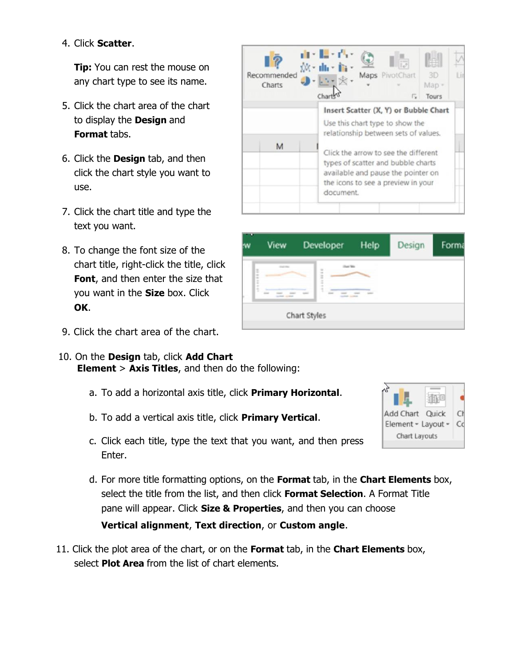#### 4. Click **Scatter**.

**Tip:** You can rest the mouse on any chart type to see its name.

- 5. Click the chart area of the chart to display the **Design** and **Format** tabs.
- 6. Click the **Design** tab, and then click the chart style you want to use.
- 7. Click the chart title and type the text you want.
- 8. To change the font size of the chart title, right-click the title, click **Font**, and then enter the size that you want in the **Size** box. Click **OK**.
- 9. Click the chart area of the chart.
- 10. On the **Design** tab, click **Add Chart Element** > **Axis Titles**, and then do the following:
	- a. To add a horizontal axis title, click **Primary Horizontal**.
	- b. To add a vertical axis title, click **Primary Vertical**.
	- c. Click each title, type the text that you want, and then press Enter.
	- d. For more title formatting options, on the **Format** tab, in the **Chart Elements** box, select the title from the list, and then click **Format Selection**. A Format Title pane will appear. Click **Size & Properties**, and then you can choose

#### **Vertical alignment**, **Text direction**, or **Custom angle**.

11. Click the plot area of the chart, or on the **Format** tab, in the **Chart Elements** box, select **Plot Area** from the list of chart elements.

| Recommended<br>Charts | de Leó<br>XX - the The<br>Maps PivotChart<br>3D<br>Map -<br>斥<br><b>Tours</b>                                                                                       |  |  |  |
|-----------------------|---------------------------------------------------------------------------------------------------------------------------------------------------------------------|--|--|--|
|                       | Insert Scatter (X, Y) or Bubble Chart<br>Use this chart type to show the<br>relationship between sets of values.                                                    |  |  |  |
| M                     | Click the arrow to see the different<br>types of scatter and bubble charts<br>available and pause the pointer on<br>the icons to see a preview in your<br>document. |  |  |  |

| w                       | View                                                 | Developer    | Help | Design | Form |
|-------------------------|------------------------------------------------------|--------------|------|--------|------|
| $\frac{1}{2}$<br>t<br>ĸ | <b>START TOO</b><br><b>SAN ANTICIPAL AND INCOME.</b> |              |      |        |      |
|                         |                                                      | Chart Styles |      |        |      |

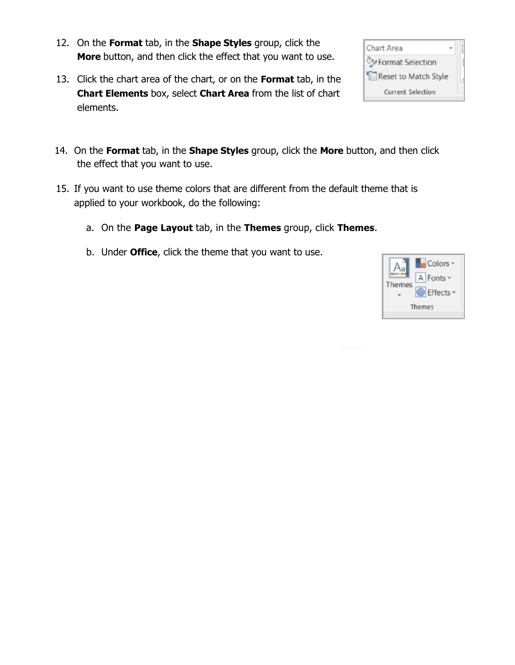- 12. On the **Format** tab, in the **Shape Styles** group, click the **More** button, and then click the effect that you want to use.
- 13. Click the chart area of the chart, or on the **Format** tab, in the **Chart Elements** box, select **Chart Area** from the list of chart elements.
- 14. On the **Format** tab, in the **Shape Styles** group, click the **More** button, and then click the effect that you want to use.
- 15. If you want to use theme colors that are different from the default theme that is applied to your workbook, do the following:
	- a. On the **Page Layout** tab, in the **Themes** group, click **Themes**.
	- b. Under **Office**, click the theme that you want to use.



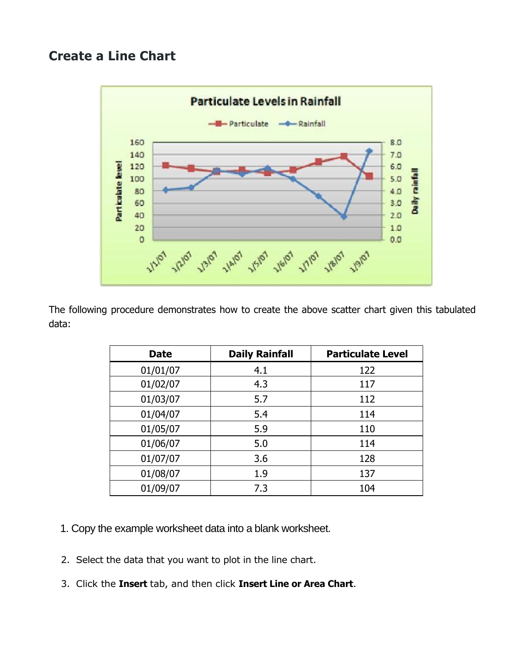### **Create a Line Chart**



The following procedure demonstrates how to create the above scatter chart given this tabulated data:

| <b>Date</b> | <b>Daily Rainfall</b> | <b>Particulate Level</b> |
|-------------|-----------------------|--------------------------|
| 01/01/07    | 4.1                   | 122                      |
| 01/02/07    | 4.3                   | 117                      |
| 01/03/07    | 5.7                   | 112                      |
| 01/04/07    | 5.4                   | 114                      |
| 01/05/07    | 5.9                   | 110                      |
| 01/06/07    | 5.0                   | 114                      |
| 01/07/07    | 3.6                   | 128                      |
| 01/08/07    | 1.9                   | 137                      |
| 01/09/07    | 7.3                   | 104                      |

- 1. Copy the example worksheet data into a blank worksheet.
- 2. Select the data that you want to plot in the line chart.
- 3. Click the **Insert** tab, and then click **Insert Line or Area Chart**.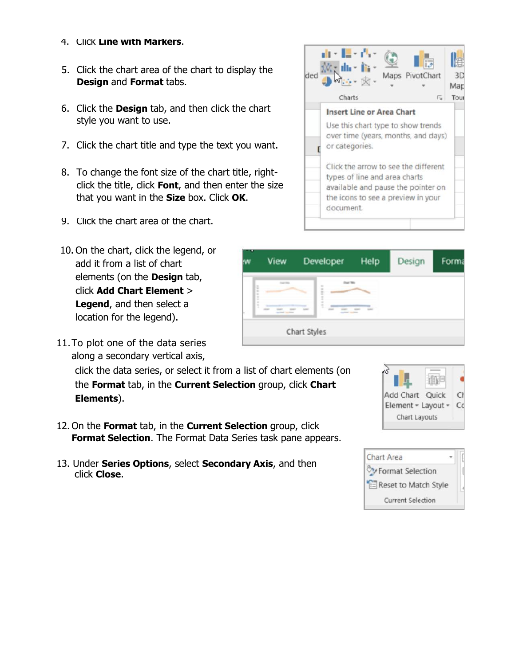- 4. Click **Line with Markers**.
- 5. Click the chart area of the chart to display the **Design** and **Format** tabs.
- 6. Click the **Design** tab, and then click the chart style you want to use.
- 7. Click the chart title and type the text you want.
- 8. To change the font size of the chart title, rightclick the title, click **Font**, and then enter the size that you want in the **Size** box. Click **OK**.
- 9. Click the chart area of the chart.
- 10. On the chart, click the legend, or add it from a list of chart elements (on the **Design** tab, click **Add Chart Element** > **Legend**, and then select a location for the legend).
- 11.To plot one of the data series along a secondary vertical axis,

click the data series, or select it from a list of chart elements (on the **Format** tab, in the **Current Selection** group, click **Chart Elements**).

- 12. On the **Format** tab, in the **Current Selection** group, click **Format Selection**. The Format Data Series task pane appears.
- 13. Under **Series Options**, select **Secondary Axis**, and then click **Close**.



|   | View | Developer    | <b>Help</b> | Design | Forma |
|---|------|--------------|-------------|--------|-------|
| t | ---  |              |             |        |       |
|   |      | Chart Styles |             |        |       |



| Chart Area               |
|--------------------------|
| Format Selection         |
| Reset to Match Style     |
| <b>Current Selection</b> |